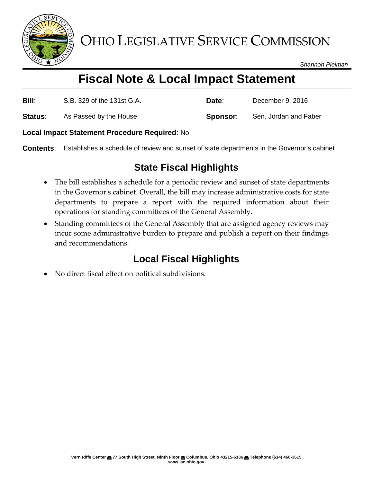

OHIO LEGISLATIVE SERVICE COMMISSION

*Shannon Pleiman*

# **Fiscal Note & Local Impact Statement**

| <b>Bill:</b> | S.B. 329 of the 131st G.A. | Date:    | December 9, 2016      |
|--------------|----------------------------|----------|-----------------------|
| Status:      | As Passed by the House     | Sponsor: | Sen. Jordan and Faber |

#### **Local Impact Statement Procedure Required**: No

**Contents**: Establishes a schedule of review and sunset of state departments in the Governor's cabinet

### **State Fiscal Highlights**

- The bill establishes a schedule for a periodic review and sunset of state departments in the Governor's cabinet. Overall, the bill may increase administrative costs for state departments to prepare a report with the required information about their operations for standing committees of the General Assembly.
- Standing committees of the General Assembly that are assigned agency reviews may incur some administrative burden to prepare and publish a report on their findings and recommendations.

## **Local Fiscal Highlights**

No direct fiscal effect on political subdivisions.